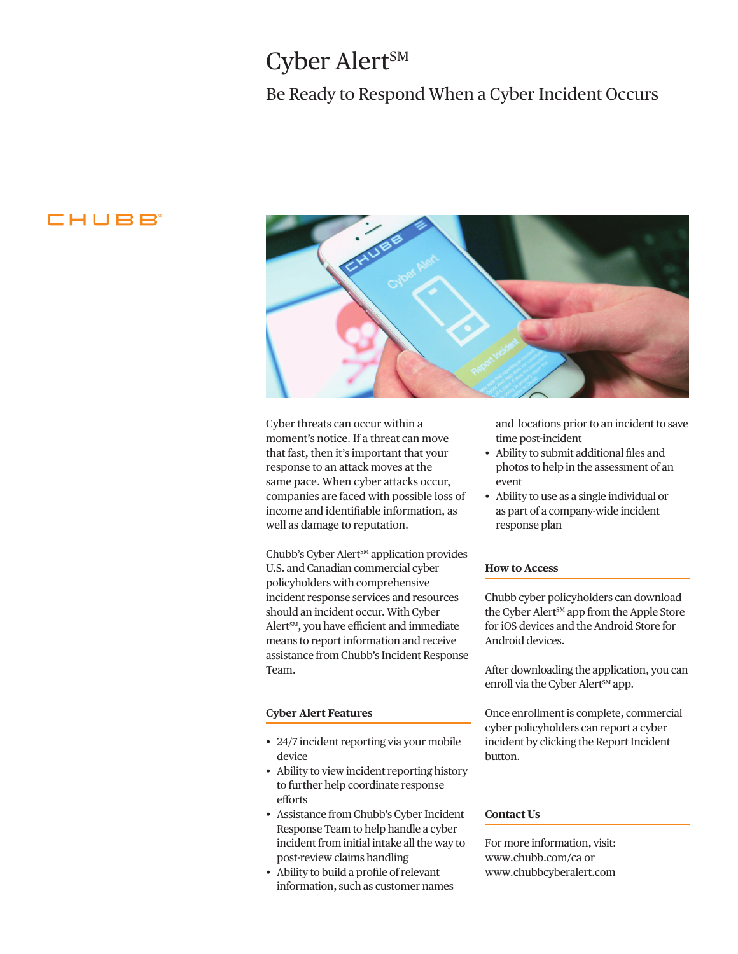# Cyber Alert<sup>SM</sup>

### Be Ready to Respond When a Cyber Incident Occurs

### CHUBB



Cyber threats can occur within a moment's notice. If a threat can move that fast, then it's important that your response to an attack moves at the same pace. When cyber attacks occur, companies are faced with possible loss of income and identifiable information, as well as damage to reputation.

Chubb's Cyber Alert<sup>SM</sup> application provides U.S. and Canadian commercial cyber policyholders with comprehensive incident response services and resources should an incident occur. With Cyber Alert SM, you have efficient and immediate means to report information and receive assistance from Chubb's Incident Response Team.

#### **Cyber Alert Features**

- 24/7 incident reporting via your mobile device
- Ability to view incident reporting history to further help coordinate response efforts
- Assistance from Chubb's Cyber Incident Response Team to help handle a cyber incident from initial intake all the way to post-review claims handling
- Ability to build a profile of relevant information, such as customer names

and locations prior to an incident to save time post-incident

- Ability to submit additional files and photos to help in the assessment of an event
- Ability to use as a single individual or as part of a company-wide incident response plan

#### **How to Access**

Chubb cyber policyholders can download the Cyber Alert<sup>SM</sup> app from the Apple Store for iOS devices and the Android Store for Android devices.

After downloading the application, you can enroll via the Cyber Alert<sup>SM</sup> app.

Once enrollment is complete, commercial cyber policyholders can report a cyber incident by clicking the Report Incident button.

#### **Contact Us**

For more information, visit: [www.chubb.](https://www2.chubb.com/ca-en/business-insurance/privacy-network-security.aspx)com/ca or [www.chubbcyberalert.com](https://www.chubbcyberalert.com/)